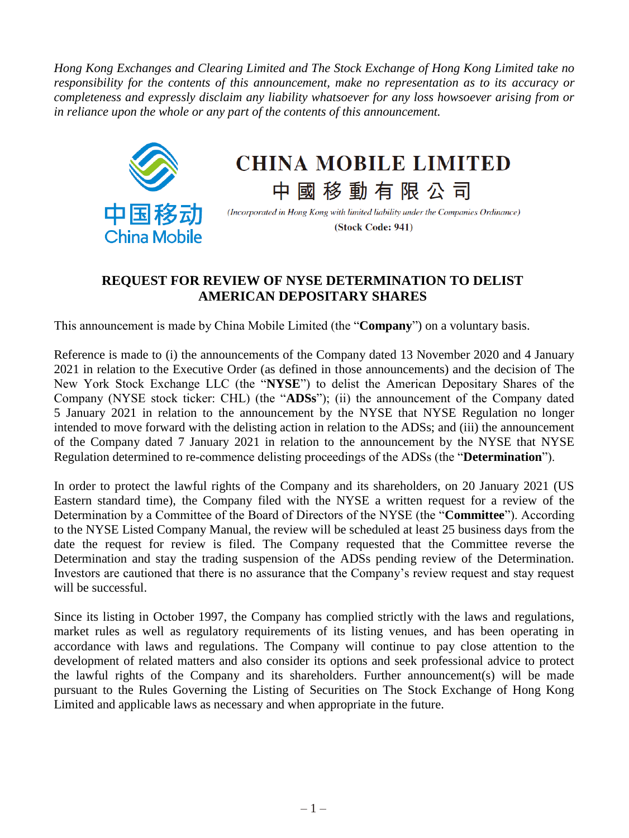*Hong Kong Exchanges and Clearing Limited and The Stock Exchange of Hong Kong Limited take no responsibility for the contents of this announcement, make no representation as to its accuracy or completeness and expressly disclaim any liability whatsoever for any loss howsoever arising from or in reliance upon the whole or any part of the contents of this announcement.*



## **CHINA MOBILE LIMITED** 中國移動有限公司

(Incorporated in Hong Kong with limited liability under the Companies Ordinance) (Stock Code: 941)

## **REQUEST FOR REVIEW OF NYSE DETERMINATION TO DELIST AMERICAN DEPOSITARY SHARES**

This announcement is made by China Mobile Limited (the "**Company**") on a voluntary basis.

Reference is made to (i) the announcements of the Company dated 13 November 2020 and 4 January 2021 in relation to the Executive Order (as defined in those announcements) and the decision of The New York Stock Exchange LLC (the "**NYSE**") to delist the American Depositary Shares of the Company (NYSE stock ticker: CHL) (the "**ADSs**"); (ii) the announcement of the Company dated 5 January 2021 in relation to the announcement by the NYSE that NYSE Regulation no longer intended to move forward with the delisting action in relation to the ADSs; and (iii) the announcement of the Company dated 7 January 2021 in relation to the announcement by the NYSE that NYSE Regulation determined to re-commence delisting proceedings of the ADSs (the "**Determination**").

In order to protect the lawful rights of the Company and its shareholders, on 20 January 2021 (US Eastern standard time), the Company filed with the NYSE a written request for a review of the Determination by a Committee of the Board of Directors of the NYSE (the "**Committee**"). According to the NYSE Listed Company Manual, the review will be scheduled at least 25 business days from the date the request for review is filed. The Company requested that the Committee reverse the Determination and stay the trading suspension of the ADSs pending review of the Determination. Investors are cautioned that there is no assurance that the Company's review request and stay request will be successful.

Since its listing in October 1997, the Company has complied strictly with the laws and regulations, market rules as well as regulatory requirements of its listing venues, and has been operating in accordance with laws and regulations. The Company will continue to pay close attention to the development of related matters and also consider its options and seek professional advice to protect the lawful rights of the Company and its shareholders. Further announcement(s) will be made pursuant to the Rules Governing the Listing of Securities on The Stock Exchange of Hong Kong Limited and applicable laws as necessary and when appropriate in the future.